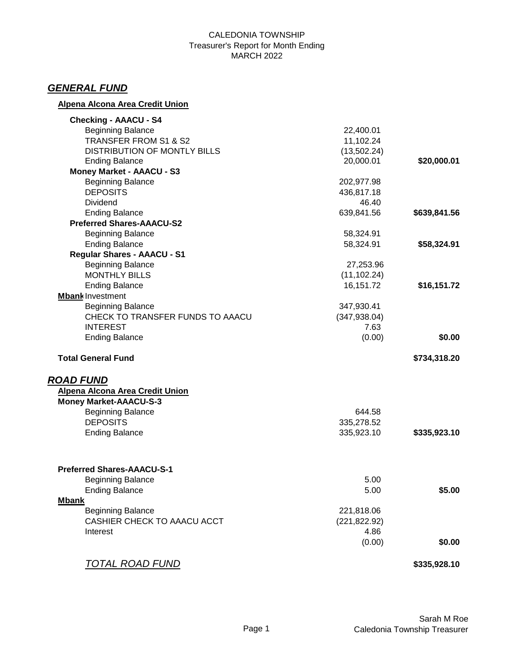### CALEDONIA TOWNSHIP Treasurer's Report for Month Ending MARCH 2022

# *GENERAL FUND*

## **Alpena Alcona Area Credit Union**

| <b>Checking - AAACU - S4</b>       |               |              |
|------------------------------------|---------------|--------------|
| <b>Beginning Balance</b>           | 22,400.01     |              |
| <b>TRANSFER FROM S1 &amp; S2</b>   | 11,102.24     |              |
| DISTRIBUTION OF MONTLY BILLS       | (13,502.24)   |              |
| <b>Ending Balance</b>              | 20,000.01     | \$20,000.01  |
| <b>Money Market - AAACU - S3</b>   |               |              |
| <b>Beginning Balance</b>           | 202,977.98    |              |
| <b>DEPOSITS</b>                    | 436,817.18    |              |
| Dividend                           | 46.40         |              |
| <b>Ending Balance</b>              | 639,841.56    | \$639,841.56 |
| <b>Preferred Shares-AAACU-S2</b>   |               |              |
| <b>Beginning Balance</b>           | 58,324.91     |              |
| <b>Ending Balance</b>              | 58,324.91     | \$58,324.91  |
| <b>Regular Shares - AAACU - S1</b> |               |              |
| <b>Beginning Balance</b>           | 27,253.96     |              |
| <b>MONTHLY BILLS</b>               | (11, 102.24)  |              |
| <b>Ending Balance</b>              | 16,151.72     | \$16,151.72  |
| <b>Mbank Investment</b>            |               |              |
| <b>Beginning Balance</b>           | 347,930.41    |              |
| CHECK TO TRANSFER FUNDS TO AAACU   | (347, 938.04) |              |
| <b>INTEREST</b>                    | 7.63          |              |
| <b>Ending Balance</b>              | (0.00)        | \$0.00       |
| <b>Total General Fund</b>          |               | \$734,318.20 |
| <b>ROAD FUND</b>                   |               |              |
| Alpena Alcona Area Credit Union    |               |              |
| <b>Money Market-AAACU-S-3</b>      |               |              |
| <b>Beginning Balance</b>           | 644.58        |              |
| <b>DEPOSITS</b>                    | 335,278.52    |              |
| <b>Ending Balance</b>              | 335,923.10    | \$335,923.10 |
|                                    |               |              |
| <b>Preferred Shares-AAACU-S-1</b>  |               |              |
| <b>Beginning Balance</b>           | 5.00          |              |
| <b>Ending Balance</b>              | 5.00          | \$5.00       |
| <b>Mbank</b>                       |               |              |
| <b>Beginning Balance</b>           | 221,818.06    |              |
| CASHIER CHECK TO AAACU ACCT        | (221, 822.92) |              |
| Interest                           | 4.86          |              |
|                                    |               |              |
|                                    | (0.00)        | \$0.00       |
| <u>TOTAL ROAD FUND</u>             |               | \$335,928.10 |